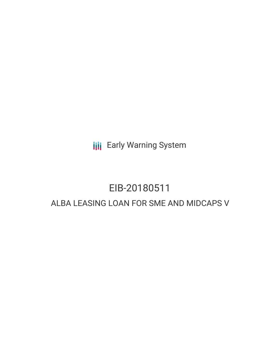**III** Early Warning System

# EIB-20180511 ALBA LEASING LOAN FOR SME AND MIDCAPS V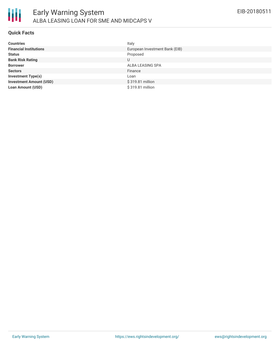

### **Quick Facts**

| <b>Countries</b>               | Italy                          |
|--------------------------------|--------------------------------|
| <b>Financial Institutions</b>  | European Investment Bank (EIB) |
| <b>Status</b>                  | Proposed                       |
| <b>Bank Risk Rating</b>        | U                              |
| <b>Borrower</b>                | ALBA LEASING SPA               |
| <b>Sectors</b>                 | Finance                        |
| <b>Investment Type(s)</b>      | Loan                           |
| <b>Investment Amount (USD)</b> | \$319.81 million               |
| <b>Loan Amount (USD)</b>       | \$319.81 million               |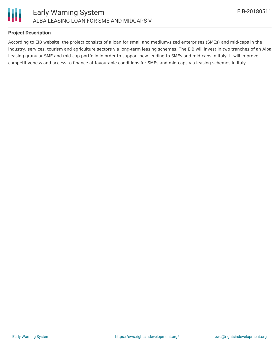

## **Project Description**

According to EIB website, the project consists of a loan for small and medium-sized enterprises (SMEs) and mid-caps in the industry, services, tourism and agriculture sectors via long-term leasing schemes. The EIB will invest in two tranches of an Alba Leasing granular SME and mid-cap portfolio in order to support new lending to SMEs and mid-caps in Italy. It will improve competitiveness and access to finance at favourable conditions for SMEs and mid-caps via leasing schemes in Italy.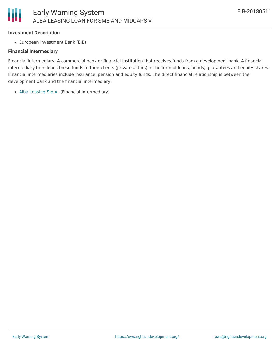#### **Investment Description**

European Investment Bank (EIB)

#### **Financial Intermediary**

Financial Intermediary: A commercial bank or financial institution that receives funds from a development bank. A financial intermediary then lends these funds to their clients (private actors) in the form of loans, bonds, guarantees and equity shares. Financial intermediaries include insurance, pension and equity funds. The direct financial relationship is between the development bank and the financial intermediary.

Alba [Leasing](file:///actor/1452/) S.p.A. (Financial Intermediary)